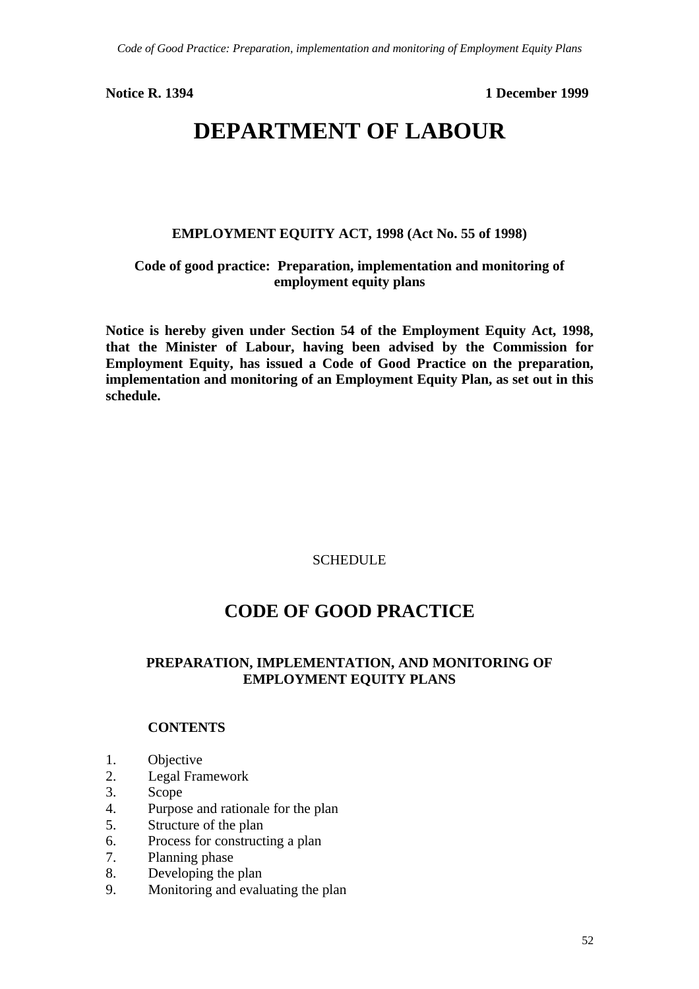**Notice R. 1394 1 December 1999**

# **DEPARTMENT OF LABOUR**

**EMPLOYMENT EQUITY ACT, 1998 (Act No. 55 of 1998)**

## **Code of good practice: Preparation, implementation and monitoring of employment equity plans**

**Notice is hereby given under Section 54 of the Employment Equity Act, 1998, that the Minister of Labour, having been advised by the Commission for Employment Equity, has issued a Code of Good Practice on the preparation, implementation and monitoring of an Employment Equity Plan, as set out in this schedule.**

### **SCHEDULE**

## **CODE OF GOOD PRACTICE**

### **PREPARATION, IMPLEMENTATION, AND MONITORING OF EMPLOYMENT EQUITY PLANS**

### **CONTENTS**

- 1. Objective
- 2. Legal Framework
- 3. Scope
- 4. Purpose and rationale for the plan
- 5. Structure of the plan
- 6. Process for constructing a plan
- 7. Planning phase
- 8. Developing the plan
- 9. Monitoring and evaluating the plan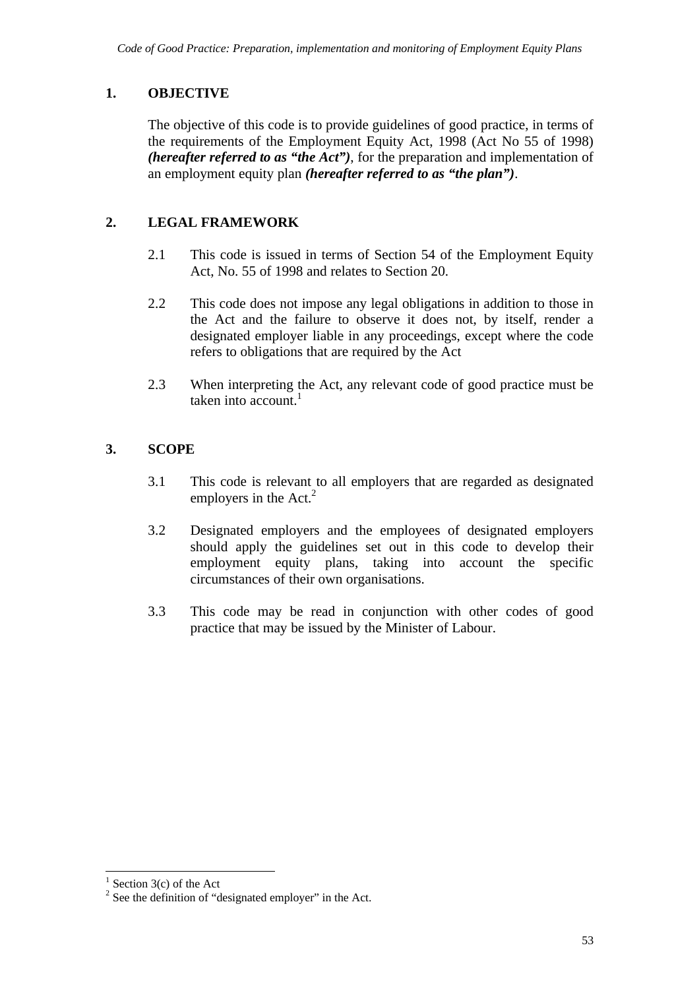## **1. OBJECTIVE**

The objective of this code is to provide guidelines of good practice, in terms of the requirements of the Employment Equity Act, 1998 (Act No 55 of 1998) *(hereafter referred to as "the Act")*, for the preparation and implementation of an employment equity plan *(hereafter referred to as "the plan")*.

## **2. LEGAL FRAMEWORK**

- 2.1 This code is issued in terms of Section 54 of the Employment Equity Act, No. 55 of 1998 and relates to Section 20.
- 2.2 This code does not impose any legal obligations in addition to those in the Act and the failure to observe it does not, by itself, render a designated employer liable in any proceedings, except where the code refers to obligations that are required by the Act
- 2.3 When interpreting the Act, any relevant code of good practice must be taken into account  $<sup>1</sup>$ </sup>

## **3. SCOPE**

- 3.1 This code is relevant to all employers that are regarded as designated employers in the  $Act<sup>2</sup>$
- 3.2 Designated employers and the employees of designated employers should apply the guidelines set out in this code to develop their employment equity plans, taking into account the specific circumstances of their own organisations.
- 3.3 This code may be read in conjunction with other codes of good practice that may be issued by the Minister of Labour.

 $\frac{1}{1}$  Section 3(c) of the Act

 $2^2$  See the definition of "designated employer" in the Act.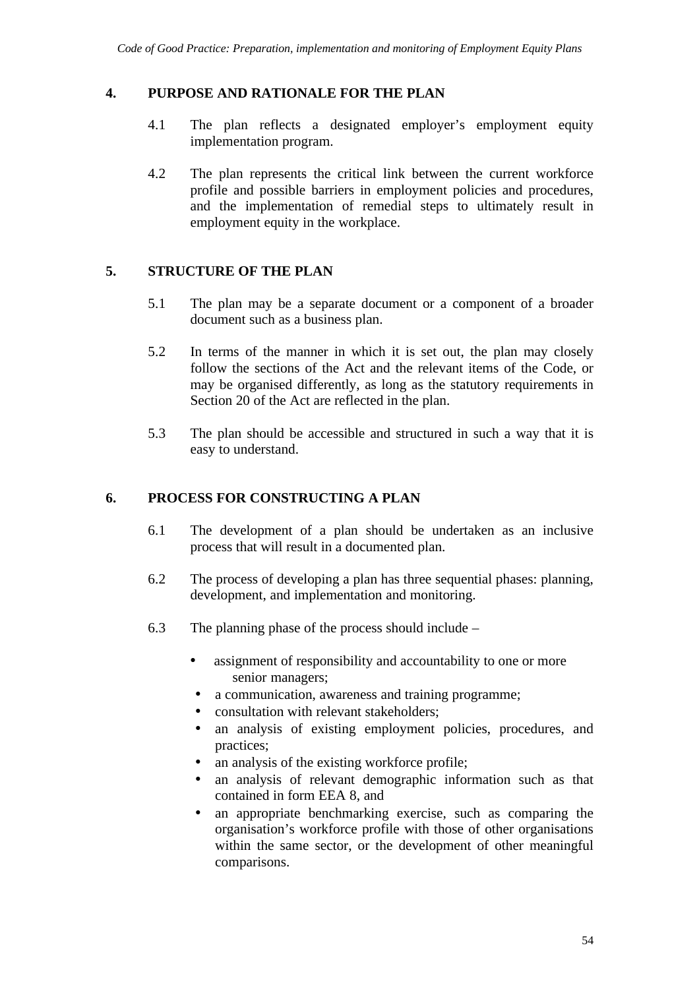## **4. PURPOSE AND RATIONALE FOR THE PLAN**

- 4.1 The plan reflects a designated employer's employment equity implementation program.
- 4.2 The plan represents the critical link between the current workforce profile and possible barriers in employment policies and procedures, and the implementation of remedial steps to ultimately result in employment equity in the workplace.

### **5. STRUCTURE OF THE PLAN**

- 5.1 The plan may be a separate document or a component of a broader document such as a business plan.
- 5.2 In terms of the manner in which it is set out, the plan may closely follow the sections of the Act and the relevant items of the Code, or may be organised differently, as long as the statutory requirements in Section 20 of the Act are reflected in the plan.
- 5.3 The plan should be accessible and structured in such a way that it is easy to understand.

### **6. PROCESS FOR CONSTRUCTING A PLAN**

- 6.1 The development of a plan should be undertaken as an inclusive process that will result in a documented plan.
- 6.2 The process of developing a plan has three sequential phases: planning, development, and implementation and monitoring.
- 6.3 The planning phase of the process should include
	- assignment of responsibility and accountability to one or more senior managers;
	- a communication, awareness and training programme;
	- consultation with relevant stakeholders:
	- an analysis of existing employment policies, procedures, and practices;
	- an analysis of the existing workforce profile;
	- an analysis of relevant demographic information such as that contained in form EEA 8, and
	- an appropriate benchmarking exercise, such as comparing the organisation's workforce profile with those of other organisations within the same sector, or the development of other meaningful comparisons.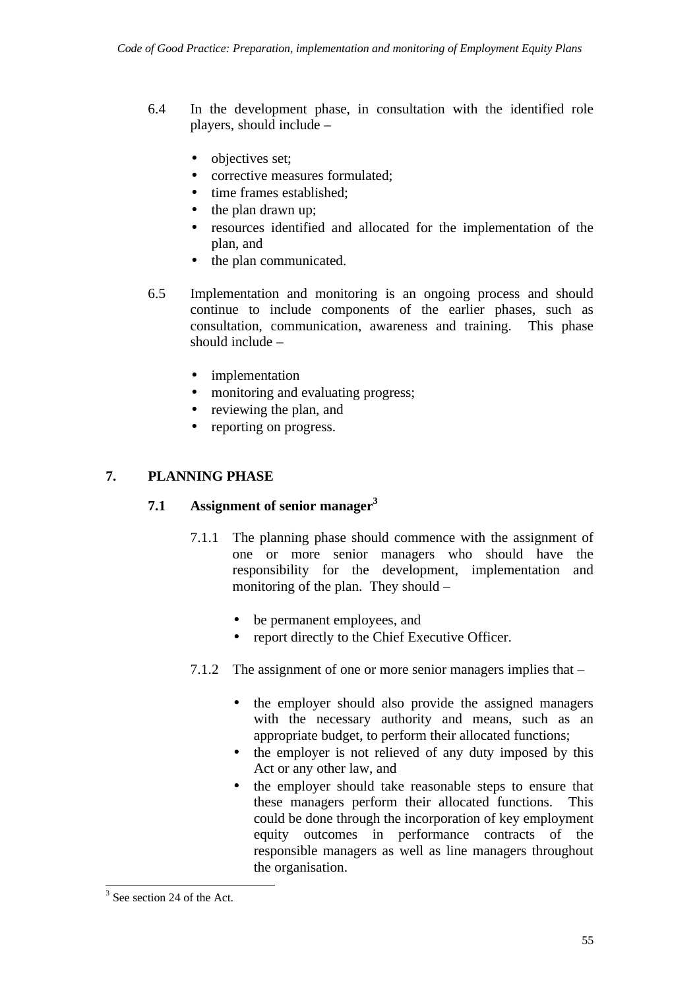- 6.4 In the development phase, in consultation with the identified role players, should include –
	- objectives set;
	- corrective measures formulated:
	- time frames established:
	- the plan drawn up;
	- resources identified and allocated for the implementation of the plan, and
	- the plan communicated.
- 6.5 Implementation and monitoring is an ongoing process and should continue to include components of the earlier phases, such as consultation, communication, awareness and training. This phase should include –
	- implementation
	- monitoring and evaluating progress;
	- reviewing the plan, and
	- reporting on progress.

## **7. PLANNING PHASE**

### **7.1 Assignment of senior manager<sup>3</sup>**

- 7.1.1 The planning phase should commence with the assignment of one or more senior managers who should have the responsibility for the development, implementation and monitoring of the plan. They should –
	- be permanent employees, and
	- report directly to the Chief Executive Officer.
- 7.1.2 The assignment of one or more senior managers implies that
	- the employer should also provide the assigned managers with the necessary authority and means, such as an appropriate budget, to perform their allocated functions;
	- the employer is not relieved of any duty imposed by this Act or any other law, and
	- the employer should take reasonable steps to ensure that these managers perform their allocated functions. This could be done through the incorporation of key employment equity outcomes in performance contracts of the responsible managers as well as line managers throughout the organisation.

 $3$  See section 24 of the Act.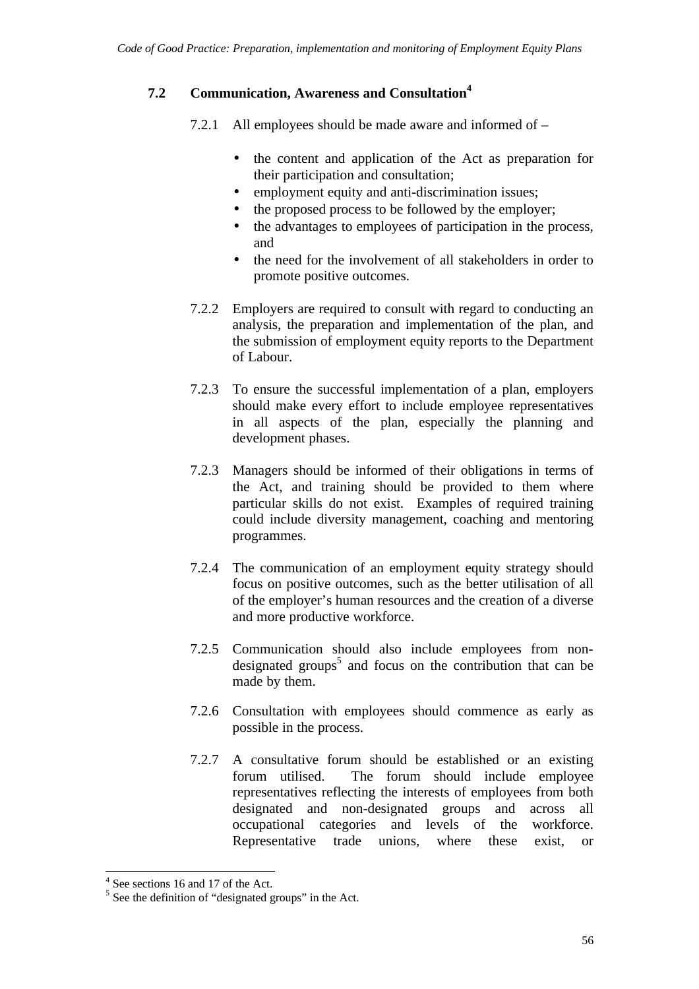## **7.2 Communication, Awareness and Consultation<sup>4</sup>**

7.2.1 All employees should be made aware and informed of –

- the content and application of the Act as preparation for their participation and consultation;
- employment equity and anti-discrimination issues;
- the proposed process to be followed by the employer;
- the advantages to employees of participation in the process, and
- the need for the involvement of all stakeholders in order to promote positive outcomes.
- 7.2.2 Employers are required to consult with regard to conducting an analysis, the preparation and implementation of the plan, and the submission of employment equity reports to the Department of Labour.
- 7.2.3 To ensure the successful implementation of a plan, employers should make every effort to include employee representatives in all aspects of the plan, especially the planning and development phases.
- 7.2.3 Managers should be informed of their obligations in terms of the Act, and training should be provided to them where particular skills do not exist. Examples of required training could include diversity management, coaching and mentoring programmes.
- 7.2.4 The communication of an employment equity strategy should focus on positive outcomes, such as the better utilisation of all of the employer's human resources and the creation of a diverse and more productive workforce.
- 7.2.5 Communication should also include employees from nondesignated groups<sup>5</sup> and focus on the contribution that can be made by them.
- 7.2.6 Consultation with employees should commence as early as possible in the process.
- 7.2.7 A consultative forum should be established or an existing forum utilised. The forum should include employee representatives reflecting the interests of employees from both designated and non-designated groups and across all occupational categories and levels of the workforce. Representative trade unions, where these exist, or

 $4^{4}$  See sections 16 and 17 of the Act.

 $<sup>5</sup>$  See the definition of "designated groups" in the Act.</sup>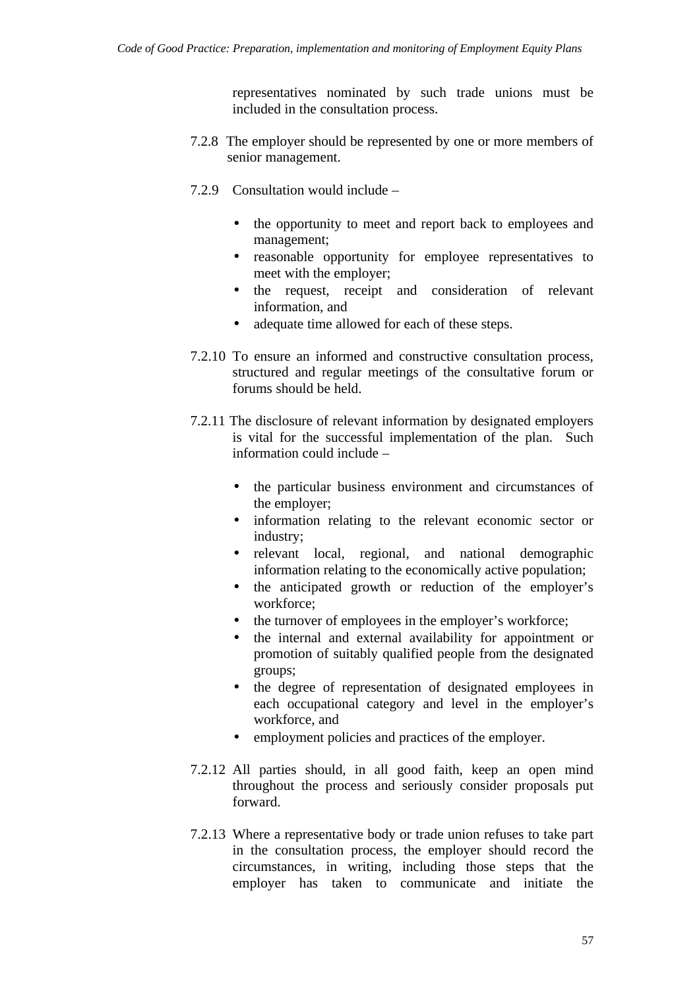representatives nominated by such trade unions must be included in the consultation process.

- 7.2.8 The employer should be represented by one or more members of senior management.
- 7.2.9 Consultation would include
	- the opportunity to meet and report back to employees and management;
	- reasonable opportunity for employee representatives to meet with the employer;
	- the request, receipt and consideration of relevant information, and
	- adequate time allowed for each of these steps.
- 7.2.10 To ensure an informed and constructive consultation process, structured and regular meetings of the consultative forum or forums should be held.
- 7.2.11 The disclosure of relevant information by designated employers is vital for the successful implementation of the plan. Such information could include –
	- the particular business environment and circumstances of the employer;
	- information relating to the relevant economic sector or industry;
	- relevant local, regional, and national demographic information relating to the economically active population;
	- the anticipated growth or reduction of the employer's workforce;
	- the turnover of employees in the employer's workforce;
	- the internal and external availability for appointment or promotion of suitably qualified people from the designated groups;
	- the degree of representation of designated employees in each occupational category and level in the employer's workforce, and
	- employment policies and practices of the employer.
- 7.2.12 All parties should, in all good faith, keep an open mind throughout the process and seriously consider proposals put forward.
- 7.2.13 Where a representative body or trade union refuses to take part in the consultation process, the employer should record the circumstances, in writing, including those steps that the employer has taken to communicate and initiate the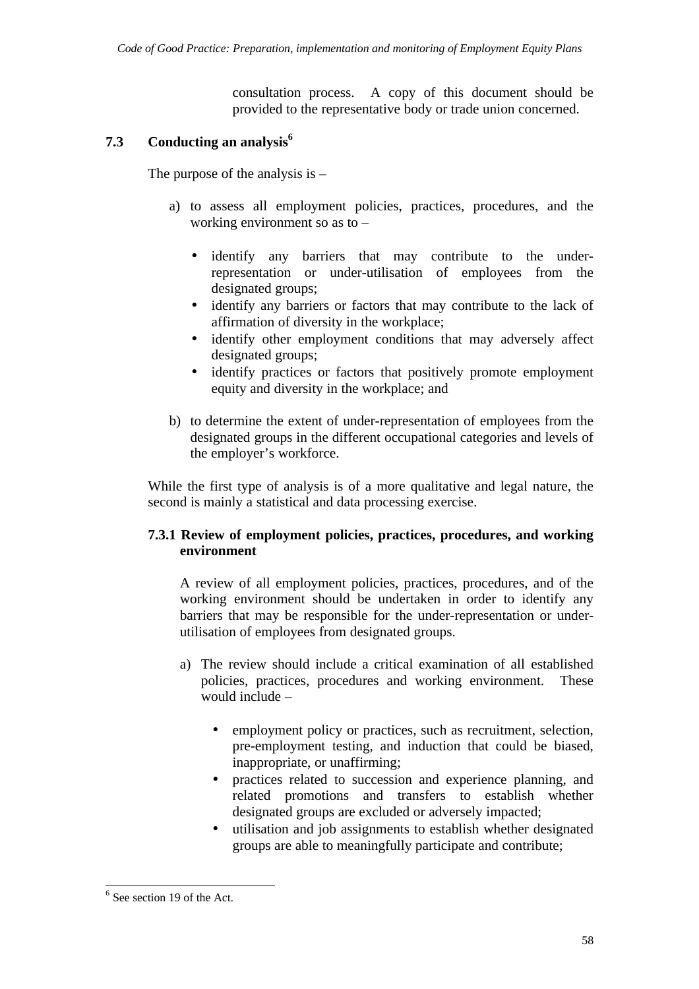consultation process. A copy of this document should be provided to the representative body or trade union concerned.

#### **7.3 Conducting an analysis<sup>6</sup>**

The purpose of the analysis is  $-$ 

- a) to assess all employment policies, practices, procedures, and the working environment so as to –
	- identify any barriers that may contribute to the underrepresentation or under-utilisation of employees from the designated groups;
	- identify any barriers or factors that may contribute to the lack of affirmation of diversity in the workplace;
	- identify other employment conditions that may adversely affect designated groups;
	- identify practices or factors that positively promote employment equity and diversity in the workplace; and
- b) to determine the extent of under-representation of employees from the designated groups in the different occupational categories and levels of the employer's workforce.

While the first type of analysis is of a more qualitative and legal nature, the second is mainly a statistical and data processing exercise.

#### **7.3.1 Review of employment policies, practices, procedures, and working environment**

A review of all employment policies, practices, procedures, and of the working environment should be undertaken in order to identify any barriers that may be responsible for the under-representation or underutilisation of employees from designated groups.

- a) The review should include a critical examination of all established policies, practices, procedures and working environment. These would include –
	- employment policy or practices, such as recruitment, selection, pre-employment testing, and induction that could be biased, inappropriate, or unaffirming;
	- practices related to succession and experience planning, and related promotions and transfers to establish whether designated groups are excluded or adversely impacted;
	- utilisation and job assignments to establish whether designated groups are able to meaningfully participate and contribute;

 $6$  See section 19 of the Act.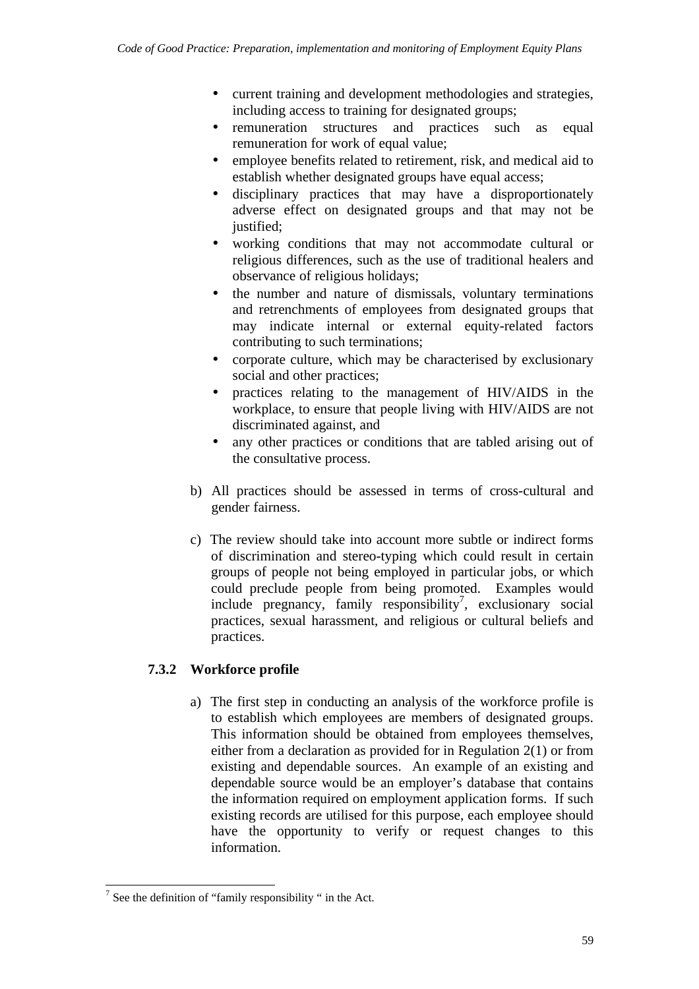- current training and development methodologies and strategies, including access to training for designated groups;
- remuneration structures and practices such as equal remuneration for work of equal value;
- employee benefits related to retirement, risk, and medical aid to establish whether designated groups have equal access;
- disciplinary practices that may have a disproportionately adverse effect on designated groups and that may not be justified;
- working conditions that may not accommodate cultural or religious differences, such as the use of traditional healers and observance of religious holidays;
- the number and nature of dismissals, voluntary terminations and retrenchments of employees from designated groups that may indicate internal or external equity-related factors contributing to such terminations;
- corporate culture, which may be characterised by exclusionary social and other practices;
- practices relating to the management of HIV/AIDS in the workplace, to ensure that people living with HIV/AIDS are not discriminated against, and
- any other practices or conditions that are tabled arising out of the consultative process.
- b) All practices should be assessed in terms of cross-cultural and gender fairness.
- c) The review should take into account more subtle or indirect forms of discrimination and stereo-typing which could result in certain groups of people not being employed in particular jobs, or which could preclude people from being promoted. Examples would  $include$  pregnancy, family responsibility<sup>7</sup>, exclusionary social practices, sexual harassment, and religious or cultural beliefs and practices.

## **7.3.2 Workforce profile**

a) The first step in conducting an analysis of the workforce profile is to establish which employees are members of designated groups. This information should be obtained from employees themselves, either from a declaration as provided for in Regulation 2(1) or from existing and dependable sources. An example of an existing and dependable source would be an employer's database that contains the information required on employment application forms. If such existing records are utilised for this purpose, each employee should have the opportunity to verify or request changes to this information.

 $\overline{7}$  See the definition of "family responsibility" in the Act.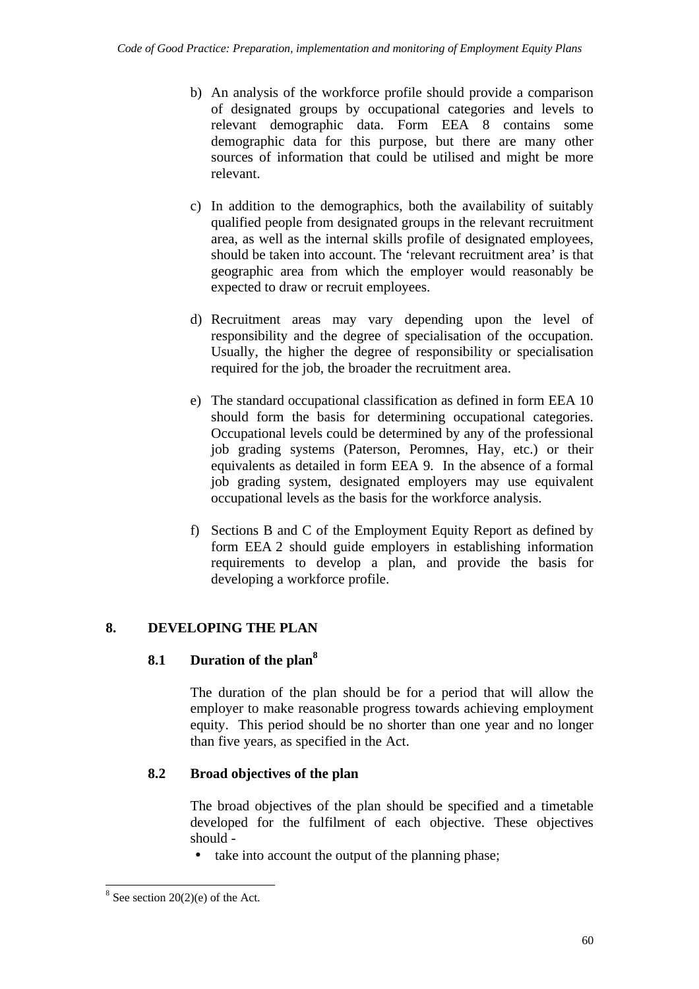- b) An analysis of the workforce profile should provide a comparison of designated groups by occupational categories and levels to relevant demographic data. Form EEA 8 contains some demographic data for this purpose, but there are many other sources of information that could be utilised and might be more relevant.
- c) In addition to the demographics, both the availability of suitably qualified people from designated groups in the relevant recruitment area, as well as the internal skills profile of designated employees, should be taken into account. The 'relevant recruitment area' is that geographic area from which the employer would reasonably be expected to draw or recruit employees.
- d) Recruitment areas may vary depending upon the level of responsibility and the degree of specialisation of the occupation. Usually, the higher the degree of responsibility or specialisation required for the job, the broader the recruitment area.
- e) The standard occupational classification as defined in form EEA 10 should form the basis for determining occupational categories. Occupational levels could be determined by any of the professional job grading systems (Paterson, Peromnes, Hay, etc.) or their equivalents as detailed in form EEA 9. In the absence of a formal job grading system, designated employers may use equivalent occupational levels as the basis for the workforce analysis.
- f) Sections B and C of the Employment Equity Report as defined by form EEA 2 should guide employers in establishing information requirements to develop a plan, and provide the basis for developing a workforce profile.

## **8. DEVELOPING THE PLAN**

## **8.1 Duration of the plan<sup>8</sup>**

The duration of the plan should be for a period that will allow the employer to make reasonable progress towards achieving employment equity. This period should be no shorter than one year and no longer than five years, as specified in the Act.

## **8.2 Broad objectives of the plan**

The broad objectives of the plan should be specified and a timetable developed for the fulfilment of each objective. These objectives should -

• take into account the output of the planning phase;

 $\overline{a}$  $8$  See section 20(2)(e) of the Act.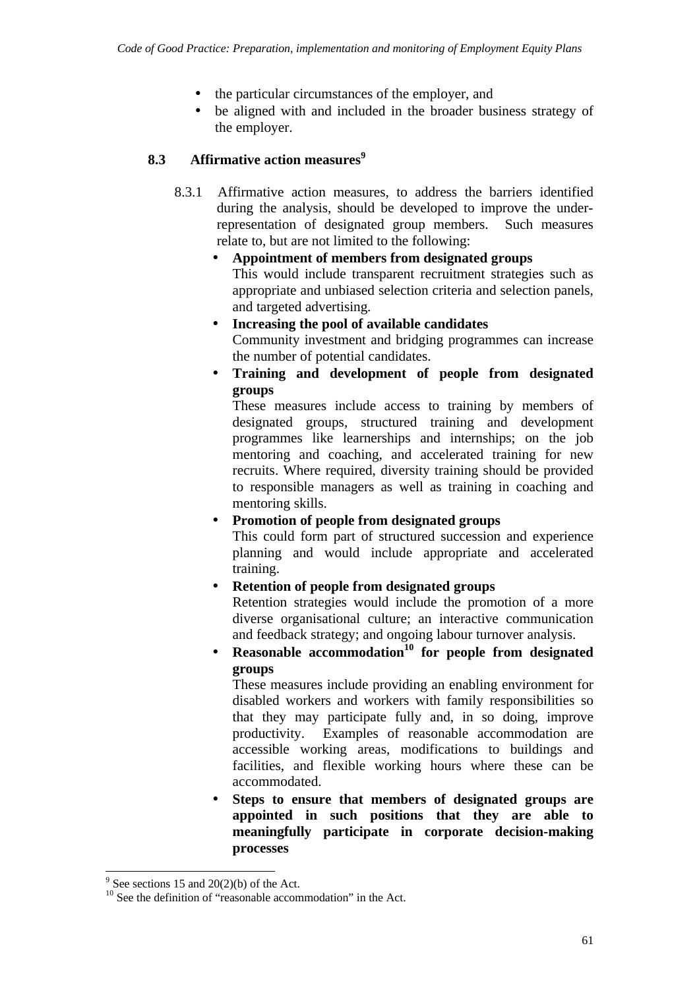- the particular circumstances of the employer, and
- be aligned with and included in the broader business strategy of the employer.

## **8.3 Affirmative action measures**<sup>9</sup>

8.3.1 Affirmative action measures, to address the barriers identified during the analysis, should be developed to improve the underrepresentation of designated group members. Such measures relate to, but are not limited to the following:

## • **Appointment of members from designated groups** This would include transparent recruitment strategies such as appropriate and unbiased selection criteria and selection panels, and targeted advertising*.*

- **Increasing the pool of available candidates** Community investment and bridging programmes can increase the number of potential candidates.
- **Training and development of people from designated groups**

These measures include access to training by members of designated groups, structured training and development programmes like learnerships and internships; on the job mentoring and coaching, and accelerated training for new recruits. Where required, diversity training should be provided to responsible managers as well as training in coaching and mentoring skills.

## • **Promotion of people from designated groups**

This could form part of structured succession and experience planning and would include appropriate and accelerated training.

## • **Retention of people from designated groups**

Retention strategies would include the promotion of a more diverse organisational culture; an interactive communication and feedback strategy; and ongoing labour turnover analysis.

• **Reasonable accommodation<sup>10</sup> for people from designated groups**

These measures include providing an enabling environment for disabled workers and workers with family responsibilities so that they may participate fully and, in so doing, improve productivity. Examples of reasonable accommodation are accessible working areas, modifications to buildings and facilities, and flexible working hours where these can be accommodated.

• **Steps to ensure that members of designated groups are appointed in such positions that they are able to meaningfully participate in corporate decision-making processes**

<sup>&</sup>lt;sup>9</sup> See sections 15 and  $20(2)(b)$  of the Act.

<sup>&</sup>lt;sup>10</sup> See the definition of "reasonable accommodation" in the Act.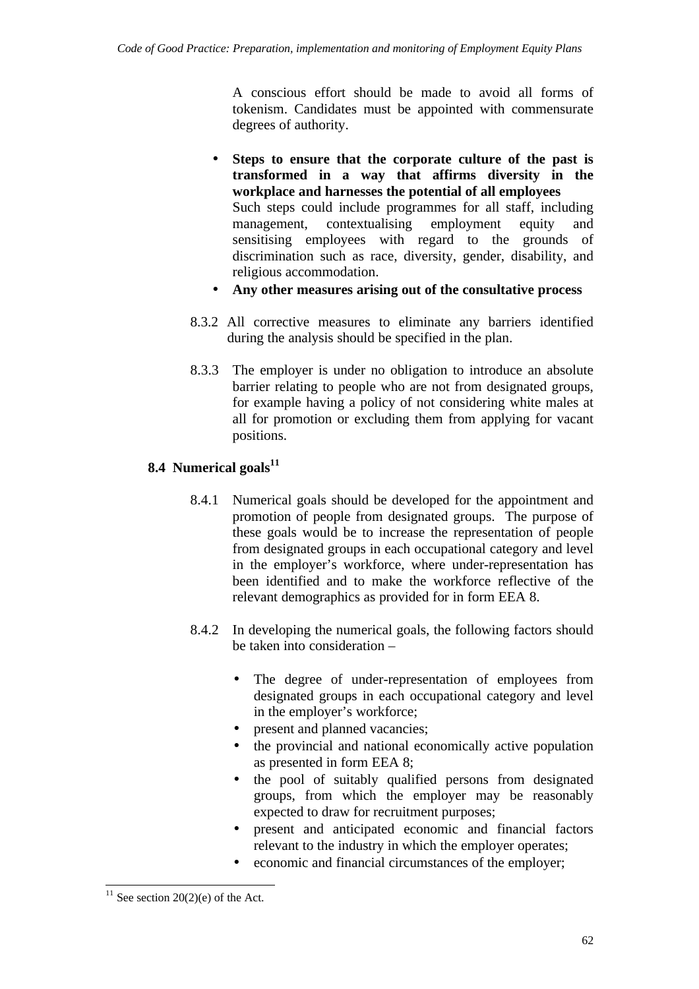A conscious effort should be made to avoid all forms of tokenism. Candidates must be appointed with commensurate degrees of authority.

- **Steps to ensure that the corporate culture of the past is transformed in a way that affirms diversity in the workplace and harnesses the potential of all employees** Such steps could include programmes for all staff, including management, contextualising employment equity and sensitising employees with regard to the grounds of discrimination such as race, diversity, gender, disability, and religious accommodation.
- **Any other measures arising out of the consultative process**
- 8.3.2 All corrective measures to eliminate any barriers identified during the analysis should be specified in the plan.
- 8.3.3 The employer is under no obligation to introduce an absolute barrier relating to people who are not from designated groups, for example having a policy of not considering white males at all for promotion or excluding them from applying for vacant positions.

## **8.4 Numerical goals<sup>11</sup>**

- 8.4.1 Numerical goals should be developed for the appointment and promotion of people from designated groups. The purpose of these goals would be to increase the representation of people from designated groups in each occupational category and level in the employer's workforce, where under-representation has been identified and to make the workforce reflective of the relevant demographics as provided for in form EEA 8.
- 8.4.2 In developing the numerical goals, the following factors should be taken into consideration –
	- The degree of under-representation of employees from designated groups in each occupational category and level in the employer's workforce;
	- present and planned vacancies;
	- the provincial and national economically active population as presented in form EEA 8;
	- the pool of suitably qualified persons from designated groups, from which the employer may be reasonably expected to draw for recruitment purposes;
	- present and anticipated economic and financial factors relevant to the industry in which the employer operates;
	- economic and financial circumstances of the employer;

 $\overline{a}$  $11$  See section 20(2)(e) of the Act.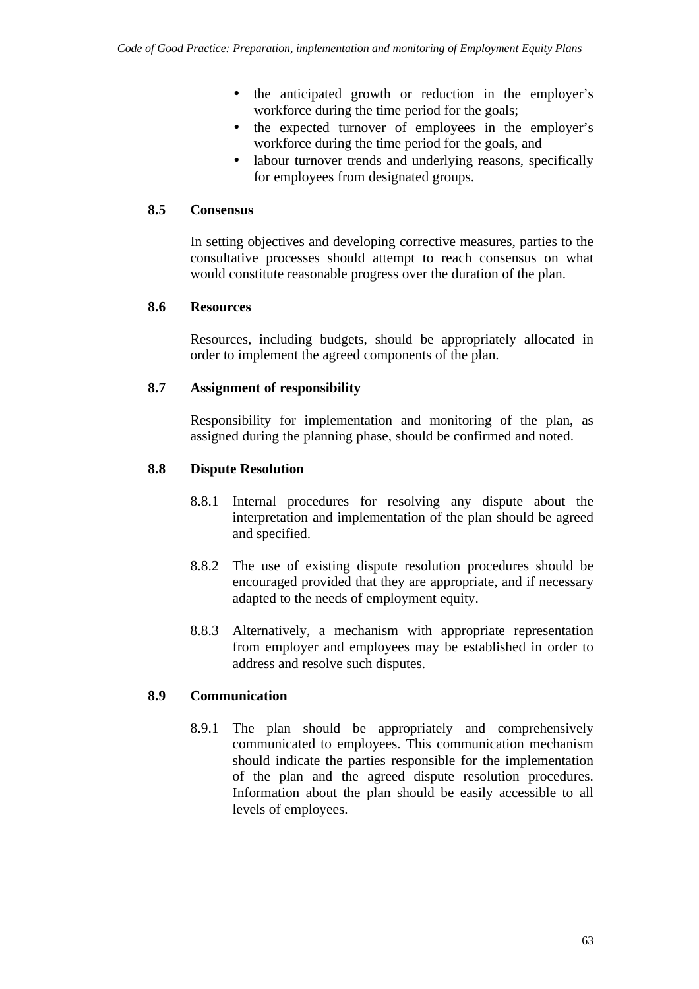- the anticipated growth or reduction in the employer's workforce during the time period for the goals;
- the expected turnover of employees in the employer's workforce during the time period for the goals, and
- labour turnover trends and underlying reasons, specifically for employees from designated groups.

#### **8.5 Consensus**

In setting objectives and developing corrective measures, parties to the consultative processes should attempt to reach consensus on what would constitute reasonable progress over the duration of the plan.

#### **8.6 Resources**

Resources, including budgets, should be appropriately allocated in order to implement the agreed components of the plan.

#### **8.7 Assignment of responsibility**

Responsibility for implementation and monitoring of the plan, as assigned during the planning phase, should be confirmed and noted.

#### **8.8 Dispute Resolution**

- 8.8.1 Internal procedures for resolving any dispute about the interpretation and implementation of the plan should be agreed and specified.
- 8.8.2 The use of existing dispute resolution procedures should be encouraged provided that they are appropriate, and if necessary adapted to the needs of employment equity.
- 8.8.3 Alternatively, a mechanism with appropriate representation from employer and employees may be established in order to address and resolve such disputes.

#### **8.9 Communication**

8.9.1 The plan should be appropriately and comprehensively communicated to employees. This communication mechanism should indicate the parties responsible for the implementation of the plan and the agreed dispute resolution procedures. Information about the plan should be easily accessible to all levels of employees.